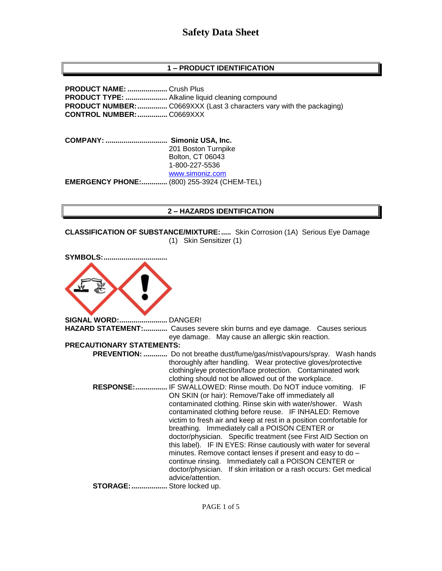# **1 – PRODUCT IDENTIFICATION**

**PRODUCT NAME: ....................** Crush Plus **PRODUCT TYPE: .....................** Alkaline liquid cleaning compound **PRODUCT NUMBER:**................. C0669XXX (Last 3 characters vary with the packaging) **CONTROL NUMBER:...............** C0669XXX

**COMPANY: ............................... Simoniz USA, Inc.** 201 Boston Turnpike Bolton, CT 06043 1-800-227-5536 [www.simoniz.com](http://www.simoniz.com/) **EMERGENCY PHONE:.............** (800) 255-3924 (CHEM-TEL)

#### **2 – HAZARDS IDENTIFICATION**

**CLASSIFICATION OF SUBSTANCE/MIXTURE:.....** Skin Corrosion (1A) Serious Eye Damage (1) Skin Sensitizer (1)

| <b>SYMBOLS:.</b>                 |                                                                                                                                                                                                                                                                                                                                                                                                                                                                                                                                                                                                                                                                                                                              |
|----------------------------------|------------------------------------------------------------------------------------------------------------------------------------------------------------------------------------------------------------------------------------------------------------------------------------------------------------------------------------------------------------------------------------------------------------------------------------------------------------------------------------------------------------------------------------------------------------------------------------------------------------------------------------------------------------------------------------------------------------------------------|
|                                  |                                                                                                                                                                                                                                                                                                                                                                                                                                                                                                                                                                                                                                                                                                                              |
| SIGNAL WORD:                     | DANGER!                                                                                                                                                                                                                                                                                                                                                                                                                                                                                                                                                                                                                                                                                                                      |
|                                  | HAZARD STATEMENT: Causes severe skin burns and eye damage. Causes serious<br>eye damage. May cause an allergic skin reaction.                                                                                                                                                                                                                                                                                                                                                                                                                                                                                                                                                                                                |
| <b>PRECAUTIONARY STATEMENTS:</b> |                                                                                                                                                                                                                                                                                                                                                                                                                                                                                                                                                                                                                                                                                                                              |
|                                  | <b>PREVENTION: </b> Do not breathe dust/fume/gas/mist/vapours/spray. Wash hands<br>thoroughly after handling. Wear protective gloves/protective<br>clothing/eye protection/face protection. Contaminated work<br>clothing should not be allowed out of the workplace.                                                                                                                                                                                                                                                                                                                                                                                                                                                        |
|                                  | RESPONSE: IF SWALLOWED: Rinse mouth. Do NOT induce vomiting. IF<br>ON SKIN (or hair): Remove/Take off immediately all<br>contaminated clothing. Rinse skin with water/shower. Wash<br>contaminated clothing before reuse. IF INHALED: Remove<br>victim to fresh air and keep at rest in a position comfortable for<br>breathing. Immediately call a POISON CENTER or<br>doctor/physician. Specific treatment (see First AID Section on<br>this label). IF IN EYES: Rinse cautiously with water for several<br>minutes. Remove contact lenses if present and easy to do -<br>continue rinsing. Immediately call a POISON CENTER or<br>doctor/physician. If skin irritation or a rash occurs: Get medical<br>advice/attention. |
| <b>STORAGE: </b>                 | Store locked up.                                                                                                                                                                                                                                                                                                                                                                                                                                                                                                                                                                                                                                                                                                             |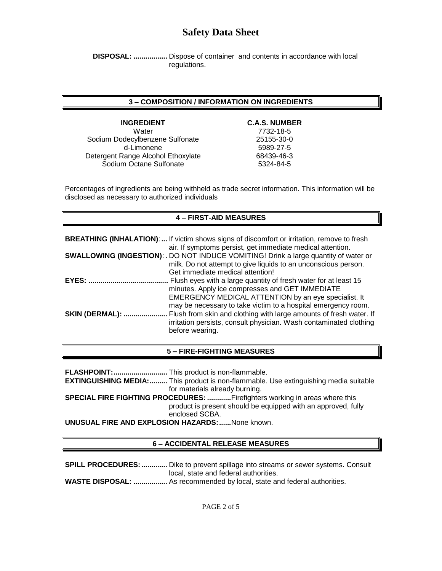**DISPOSAL: .................** Dispose of container and contents in accordance with local regulations.

### **3 – COMPOSITION / INFORMATION ON INGREDIENTS**

**INGREDIENT C.A.S. NUMBER** Water 7732-18-5 Sodium Dodecylbenzene Sulfonate 25155-30-0 d-Limonene 5989-27-5 Detergent Range Alcohol Ethoxylate 68439-46-3 Sodium Octane Sulfonate 5324-84-5

Percentages of ingredients are being withheld as trade secret information. This information will be disclosed as necessary to authorized individuals

# **4 – FIRST-AID MEASURES**

|                        | <b>BREATHING (INHALATION):</b> If victim shows signs of discomfort or irritation, remove to fresh<br>air. If symptoms persist, get immediate medical attention.                                                                             |
|------------------------|---------------------------------------------------------------------------------------------------------------------------------------------------------------------------------------------------------------------------------------------|
|                        | <b>SWALLOWING (INGESTION): .</b> DO NOT INDUCE VOMITING! Drink a large quantity of water or<br>milk. Do not attempt to give liquids to an unconscious person.<br>Get immediate medical attention!                                           |
| EYES:                  | Flush eyes with a large quantity of fresh water for at least 15<br>minutes. Apply ice compresses and GET IMMEDIATE<br>EMERGENCY MEDICAL ATTENTION by an eye specialist. It<br>may be necessary to take victim to a hospital emergency room. |
| <b>SKIN (DERMAL): </b> | Flush from skin and clothing with large amounts of fresh water. If<br>irritation persists, consult physician. Wash contaminated clothing<br>before wearing.                                                                                 |

#### **5 – FIRE-FIGHTING MEASURES**

**FLASHPOINT:...........................** This product is non-flammable.

**EXTINGUISHING MEDIA:.........** This product is non-flammable. Use extinguishing media suitable for materials already burning.

**SPECIAL FIRE FIGHTING PROCEDURES: ............**Firefighters working in areas where this product is present should be equipped with an approved, fully enclosed SCBA.

**UNUSUAL FIRE AND EXPLOSION HAZARDS:......**None known.

#### **6 – ACCIDENTAL RELEASE MEASURES**

**SPILL PROCEDURES: .............** Dike to prevent spillage into streams or sewer systems. Consult local, state and federal authorities. **WASTE DISPOSAL: .................** As recommended by local, state and federal authorities.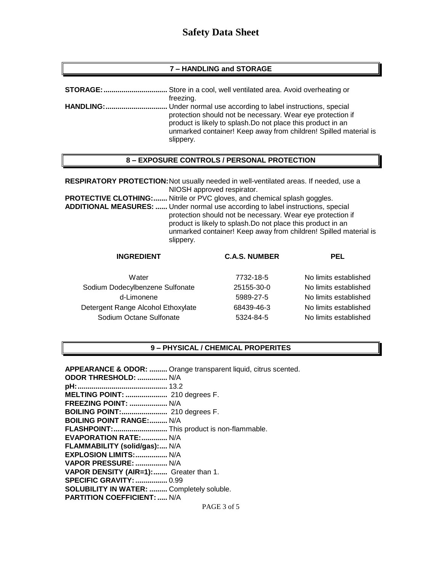## **7 – HANDLING and STORAGE**

| freezing.                                                                                                                                                                                                   |
|-------------------------------------------------------------------------------------------------------------------------------------------------------------------------------------------------------------|
|                                                                                                                                                                                                             |
| protection should not be necessary. Wear eye protection if<br>product is likely to splash. Do not place this product in an<br>unmarked container! Keep away from children! Spilled material is<br>slippery. |

#### **8 – EXPOSURE CONTROLS / PERSONAL PROTECTION**

**RESPIRATORY PROTECTION:**Not usually needed in well-ventilated areas. If needed, use a NIOSH approved respirator. **PROTECTIVE CLOTHING:.......** Nitrile or PVC gloves, and chemical splash goggles. **ADDITIONAL MEASURES: ......** Under normal use according to label instructions, special protection should not be necessary. Wear eye protection if product is likely to splash.Do not place this product in an unmarked container! Keep away from children! Spilled material is slippery.

| <b>INGREDIENT</b>                  | <b>C.A.S. NUMBER</b> | <b>PEL</b>            |
|------------------------------------|----------------------|-----------------------|
| Water                              | 7732-18-5            | No limits established |
| Sodium Dodecylbenzene Sulfonate    | 25155-30-0           | No limits established |
| d-Limonene                         | 5989-27-5            | No limits established |
| Detergent Range Alcohol Ethoxylate | 68439-46-3           | No limits established |
| Sodium Octane Sulfonate            | 5324-84-5            | No limits established |

#### **9 – PHYSICAL / CHEMICAL PROPERITES**

| APPEARANCE & ODOR:  Orange transparent liquid, citrus scented. |
|----------------------------------------------------------------|
| ODOR THRESHOLD:  N/A                                           |
|                                                                |
| MELTING POINT:  210 degrees F.                                 |
| FREEZING POINT:  N/A                                           |
| BOILING POINT: 210 degrees F.                                  |
| <b>BOILING POINT RANGE: N/A</b>                                |
| FLASHPOINT: This product is non-flammable.                     |
| <b>EVAPORATION RATE: N/A</b>                                   |
| FLAMMABILITY (solid/gas): N/A                                  |
| EXPLOSION LIMITS:  N/A                                         |
| VAPOR PRESSURE:  N/A                                           |
| VAPOR DENSITY (AIR=1): Greater than 1.                         |
| <b>SPECIFIC GRAVITY:  0.99</b>                                 |
| SOLUBILITY IN WATER:  Completely soluble.                      |
| <b>PARTITION COEFFICIENT:  N/A</b>                             |
| PAGE 3 of 5                                                    |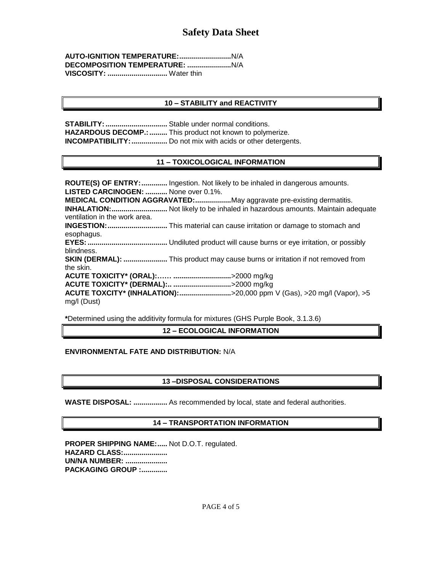| VISCOSITY:  Water thin |  |
|------------------------|--|

# **10 – STABILITY and REACTIVITY**

**STABILITY: .................................** Stable under normal conditions. HAZARDOUS DECOMP.: .......... This product not known to polymerize. **INCOMPATIBILITY:**.................... Do not mix with acids or other detergents.

## **11 – TOXICOLOGICAL INFORMATION**

**ROUTE(S) OF ENTRY:.............** Ingestion. Not likely to be inhaled in dangerous amounts. **LISTED CARCINOGEN: ...........** None over 0.1%. **MEDICAL CONDITION AGGRAVATED:..................**May aggravate pre-existing dermatitis. **INHALATION:............................** Not likely to be inhaled in hazardous amounts. Maintain adequate ventilation in the work area. **INGESTION:..............................** This material can cause irritation or damage to stomach and esophagus. **EYES:........................................** Undiluted product will cause burns or eye irritation, or possibly blindness. **SKIN (DERMAL): ......................** This product may cause burns or irritation if not removed from the skin. **ACUTE TOXICITY\* (ORAL):…… .............................**>2000 mg/kg **ACUTE TOXICITY\* (DERMAL):.. .............................**>2000 mg/kg **ACUTE TOXCITY\* (INHALATION):..........................**>20,000 ppm V (Gas), >20 mg/l (Vapor), >5 mg/l (Dust)

**\***Determined using the additivity formula for mixtures (GHS Purple Book, 3.1.3.6)

**12 – ECOLOGICAL INFORMATION**

## **ENVIRONMENTAL FATE AND DISTRIBUTION:** N/A

## **13 –DISPOSAL CONSIDERATIONS**

**WASTE DISPOSAL: .................** As recommended by local, state and federal authorities.

## **14 – TRANSPORTATION INFORMATION**

**PROPER SHIPPING NAME:.....** Not D.O.T. regulated. **HAZARD CLASS:...................... UN/NA NUMBER: ..................... PACKAGING GROUP :.............**